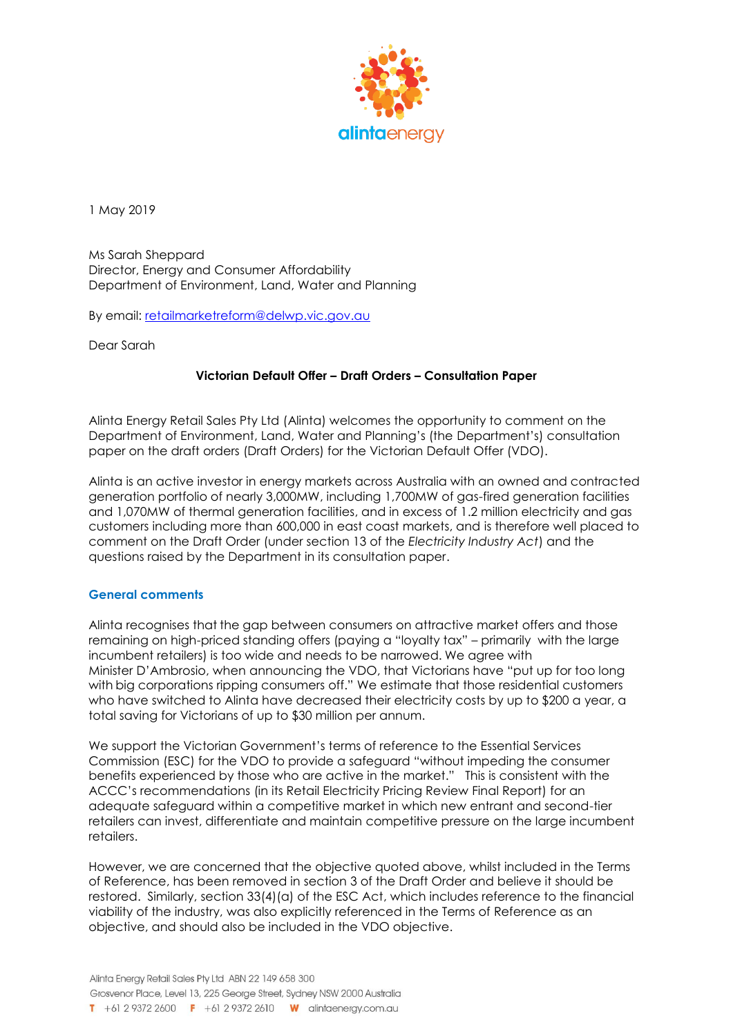

1 May 2019

Ms Sarah Sheppard Director, Energy and Consumer Affordability Department of Environment, Land, Water and Planning

By email: retailmarketreform@delwp.vic.gov.au

Dear Sarah

# **Victorian Default Offer – Draft Orders – Consultation Paper**

Alinta Energy Retail Sales Pty Ltd (Alinta) welcomes the opportunity to comment on the Department of Environment, Land, Water and Planning's (the Department's) consultation paper on the draft orders (Draft Orders) for the Victorian Default Offer (VDO).

Alinta is an active investor in energy markets across Australia with an owned and contracted generation portfolio of nearly 3,000MW, including 1,700MW of gas-fired generation facilities and 1,070MW of thermal generation facilities, and in excess of 1.2 million electricity and gas customers including more than 600,000 in east coast markets, and is therefore well placed to comment on the Draft Order (under section 13 of the *Electricity Industry Act*) and the questions raised by the Department in its consultation paper.

### **General comments**

Alinta recognises that the gap between consumers on attractive market offers and those remaining on high-priced standing offers (paying a "loyalty tax" – primarily with the large incumbent retailers) is too wide and needs to be narrowed. We agree with Minister D'Ambrosio, when announcing the VDO, that Victorians have "put up for too long with big corporations ripping consumers off." We estimate that those residential customers who have switched to Alinta have decreased their electricity costs by up to \$200 a year, a total saving for Victorians of up to \$30 million per annum.

We support the Victorian Government's terms of reference to the Essential Services Commission (ESC) for the VDO to provide a safeguard "without impeding the consumer benefits experienced by those who are active in the market." This is consistent with the ACCC's recommendations (in its Retail Electricity Pricing Review Final Report) for an adequate safeguard within a competitive market in which new entrant and second-tier retailers can invest, differentiate and maintain competitive pressure on the large incumbent retailers.

However, we are concerned that the objective quoted above, whilst included in the Terms of Reference, has been removed in section 3 of the Draft Order and believe it should be restored. Similarly, section 33(4)(a) of the ESC Act, which includes reference to the financial viability of the industry, was also explicitly referenced in the Terms of Reference as an objective, and should also be included in the VDO objective.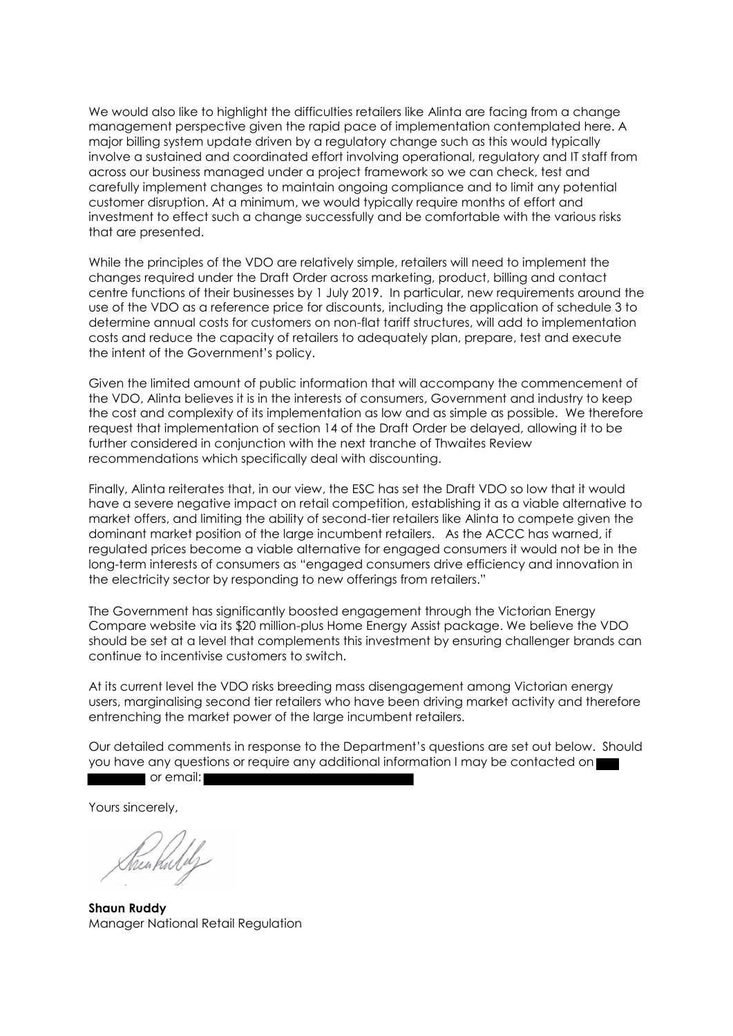We would also like to highlight the difficulties retailers like Alinta are facing from a change management perspective given the rapid pace of implementation contemplated here. A major billing system update driven by a regulatory change such as this would typically involve a sustained and coordinated effort involving operational, regulatory and IT staff from across our business managed under a project framework so we can check, test and carefully implement changes to maintain ongoing compliance and to limit any potential customer disruption. At a minimum, we would typically require months of effort and investment to effect such a change successfully and be comfortable with the various risks that are presented.

While the principles of the VDO are relatively simple, retailers will need to implement the changes required under the Draft Order across marketing, product, billing and contact centre functions of their businesses by 1 July 2019. In particular, new requirements around the use of the VDO as a reference price for discounts, including the application of schedule 3 to determine annual costs for customers on non-flat tariff structures, will add to implementation costs and reduce the capacity of retailers to adequately plan, prepare, test and execute the intent of the Government's policy.

Given the limited amount of public information that will accompany the commencement of the VDO, Alinta believes it is in the interests of consumers, Government and industry to keep the cost and complexity of its implementation as low and as simple as possible. We therefore request that implementation of section 14 of the Draft Order be delayed, allowing it to be further considered in conjunction with the next tranche of Thwaites Review recommendations which specifically deal with discounting.

Finally, Alinta reiterates that, in our view, the ESC has set the Draft VDO so low that it would have a severe negative impact on retail competition, establishing it as a viable alternative to market offers, and limiting the ability of second-tier retailers like Alinta to compete given the dominant market position of the large incumbent retailers. As the ACCC has warned, if regulated prices become a viable alternative for engaged consumers it would not be in the long-term interests of consumers as "engaged consumers drive efficiency and innovation in the electricity sector by responding to new offerings from retailers."

The Government has significantly boosted engagement through the Victorian Energy Compare website via its \$20 million-plus Home Energy Assist package. We believe the VDO should be set at a level that complements this investment by ensuring challenger brands can continue to incentivise customers to switch.

At its current level the VDO risks breeding mass disengagement among Victorian energy users, marginalising second tier retailers who have been driving market activity and therefore entrenching the market power of the large incumbent retailers.

Our detailed comments in response to the Department's questions are set out below. Should you have any questions or require any additional information I may be contacted on **The Contract of email:** 

Yours sincerely,

Shen Kulily

**Shaun Ruddy** Manager National Retail Regulation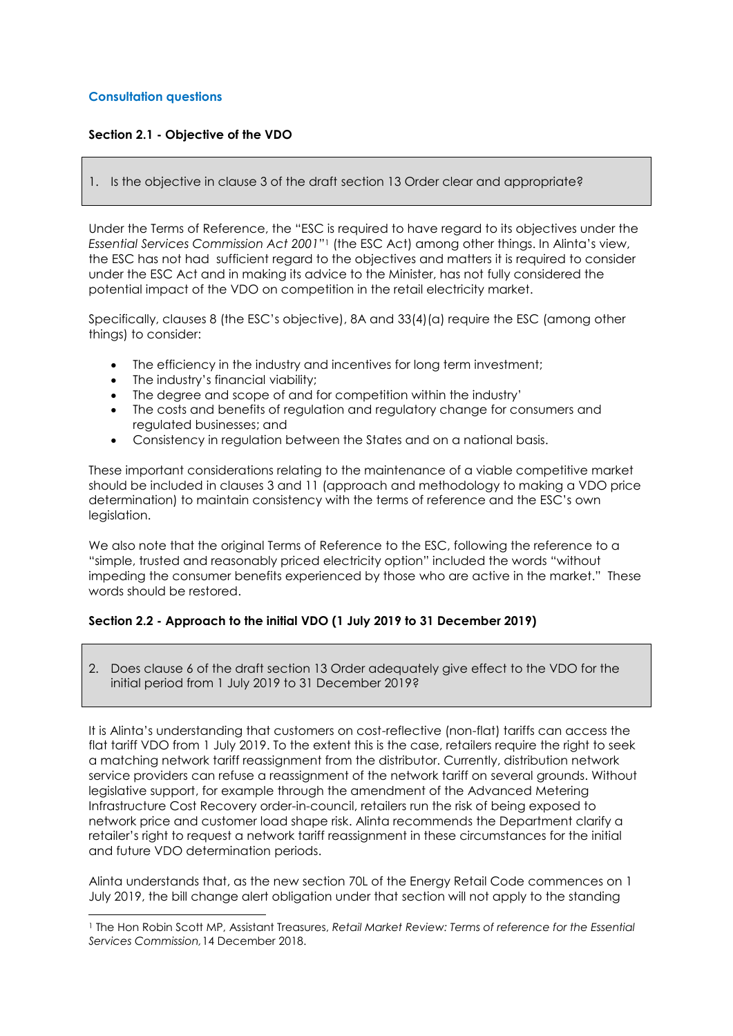## **Consultation questions**

l

## **Section 2.1 - Objective of the VDO**

1. Is the objective in clause 3 of the draft section 13 Order clear and appropriate?

Under the Terms of Reference, the "ESC is required to have regard to its objectives under the *Essential Services Commission Act 2001*" <sup>1</sup> (the ESC Act) among other things. In Alinta's view, the ESC has not had sufficient regard to the objectives and matters it is required to consider under the ESC Act and in making its advice to the Minister, has not fully considered the potential impact of the VDO on competition in the retail electricity market.

Specifically, clauses 8 (the ESC's objective), 8A and 33(4)(a) require the ESC (among other things) to consider:

- The efficiency in the industry and incentives for long term investment;
- The industry's financial viability;
- The degree and scope of and for competition within the industry'
- The costs and benefits of regulation and regulatory change for consumers and regulated businesses; and
- Consistency in regulation between the States and on a national basis.

These important considerations relating to the maintenance of a viable competitive market should be included in clauses 3 and 11 (approach and methodology to making a VDO price determination) to maintain consistency with the terms of reference and the ESC's own legislation.

We also note that the original Terms of Reference to the ESC, following the reference to a "simple, trusted and reasonably priced electricity option" included the words "without impeding the consumer benefits experienced by those who are active in the market." These words should be restored.

### **Section 2.2 - Approach to the initial VDO (1 July 2019 to 31 December 2019)**

2. Does clause 6 of the draft section 13 Order adequately give effect to the VDO for the initial period from 1 July 2019 to 31 December 2019?

It is Alinta's understanding that customers on cost-reflective (non-flat) tariffs can access the flat tariff VDO from 1 July 2019. To the extent this is the case, retailers require the right to seek a matching network tariff reassignment from the distributor. Currently, distribution network service providers can refuse a reassignment of the network tariff on several grounds. Without legislative support, for example through the amendment of the Advanced Metering Infrastructure Cost Recovery order-in-council, retailers run the risk of being exposed to network price and customer load shape risk. Alinta recommends the Department clarify a retailer's right to request a network tariff reassignment in these circumstances for the initial and future VDO determination periods.

Alinta understands that, as the new section 70L of the Energy Retail Code commences on 1 July 2019, the bill change alert obligation under that section will not apply to the standing

<sup>1</sup> The Hon Robin Scott MP, Assistant Treasures, *Retail Market Review: Terms of reference for the Essential Services Commission,*14 December 2018.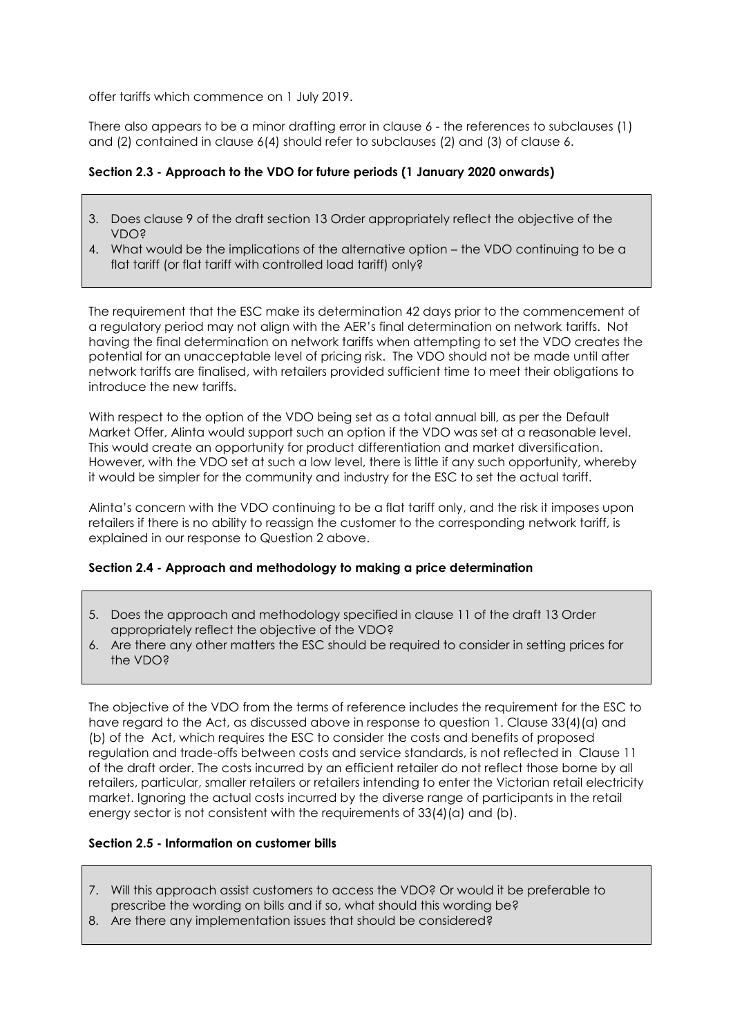offer tariffs which commence on 1 July 2019.

There also appears to be a minor drafting error in clause 6 - the references to subclauses (1) and (2) contained in clause 6(4) should refer to subclauses (2) and (3) of clause 6.

# **Section 2.3 - Approach to the VDO for future periods (1 January 2020 onwards)**

- 3. Does clause 9 of the draft section 13 Order appropriately reflect the objective of the VDO?
- 4. What would be the implications of the alternative option the VDO continuing to be a flat tariff (or flat tariff with controlled load tariff) only?

The requirement that the ESC make its determination 42 days prior to the commencement of a regulatory period may not align with the AER's final determination on network tariffs. Not having the final determination on network tariffs when attempting to set the VDO creates the potential for an unacceptable level of pricing risk. The VDO should not be made until after network tariffs are finalised, with retailers provided sufficient time to meet their obligations to introduce the new tariffs.

With respect to the option of the VDO being set as a total annual bill, as per the Default Market Offer, Alinta would support such an option if the VDO was set at a reasonable level. This would create an opportunity for product differentiation and market diversification. However, with the VDO set at such a low level, there is little if any such opportunity, whereby it would be simpler for the community and industry for the ESC to set the actual tariff.

Alinta's concern with the VDO continuing to be a flat tariff only, and the risk it imposes upon retailers if there is no ability to reassign the customer to the corresponding network tariff, is explained in our response to Question 2 above.

### **Section 2.4 - Approach and methodology to making a price determination**

- 5. Does the approach and methodology specified in clause 11 of the draft 13 Order appropriately reflect the objective of the VDO?
- 6. Are there any other matters the ESC should be required to consider in setting prices for the VDO?

The objective of the VDO from the terms of reference includes the requirement for the ESC to have regard to the Act, as discussed above in response to question 1. Clause 33(4)(a) and (b) of the Act, which requires the ESC to consider the costs and benefits of proposed regulation and trade-offs between costs and service standards, is not reflected in Clause 11 of the draft order. The costs incurred by an efficient retailer do not reflect those borne by all retailers, particular, smaller retailers or retailers intending to enter the Victorian retail electricity market. Ignoring the actual costs incurred by the diverse range of participants in the retail energy sector is not consistent with the requirements of 33(4)(a) and (b).

### **Section 2.5 - Information on customer bills**

- 7. Will this approach assist customers to access the VDO? Or would it be preferable to prescribe the wording on bills and if so, what should this wording be?
- 8. Are there any implementation issues that should be considered?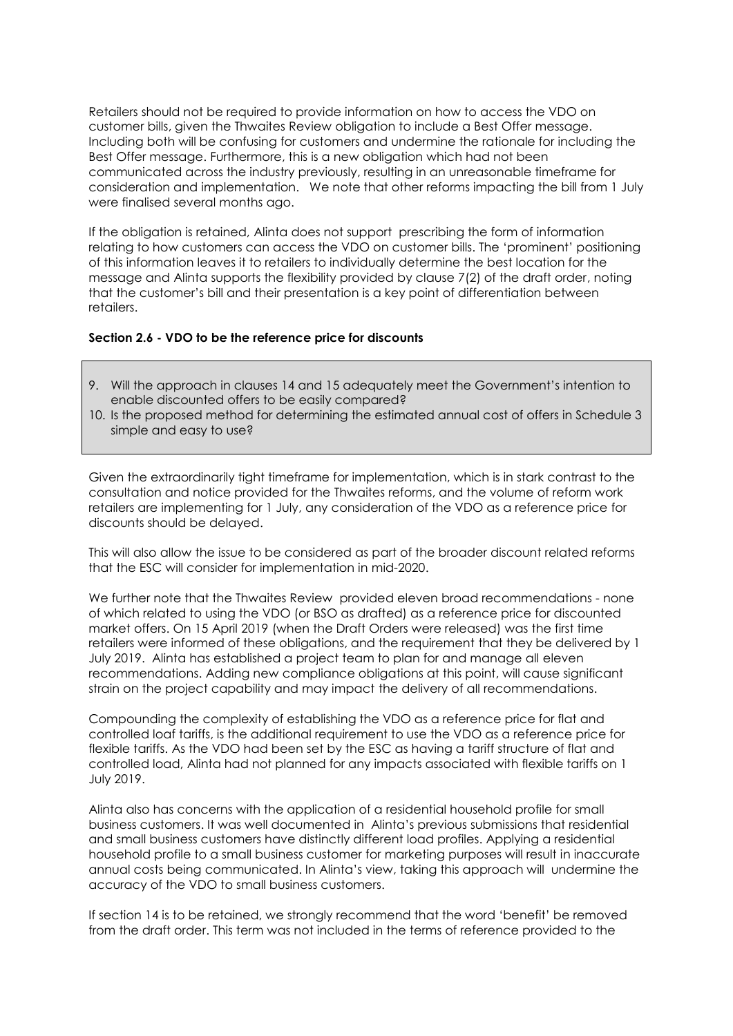Retailers should not be required to provide information on how to access the VDO on customer bills, given the Thwaites Review obligation to include a Best Offer message. Including both will be confusing for customers and undermine the rationale for including the Best Offer message. Furthermore, this is a new obligation which had not been communicated across the industry previously, resulting in an unreasonable timeframe for consideration and implementation. We note that other reforms impacting the bill from 1 July were finalised several months ago.

If the obligation is retained, Alinta does not support prescribing the form of information relating to how customers can access the VDO on customer bills. The 'prominent' positioning of this information leaves it to retailers to individually determine the best location for the message and Alinta supports the flexibility provided by clause 7(2) of the draft order, noting that the customer's bill and their presentation is a key point of differentiation between retailers.

#### **Section 2.6 - VDO to be the reference price for discounts**

- 9. Will the approach in clauses 14 and 15 adequately meet the Government's intention to enable discounted offers to be easily compared?
- 10. Is the proposed method for determining the estimated annual cost of offers in Schedule 3 simple and easy to use?

Given the extraordinarily tight timeframe for implementation, which is in stark contrast to the consultation and notice provided for the Thwaites reforms, and the volume of reform work retailers are implementing for 1 July, any consideration of the VDO as a reference price for discounts should be delayed.

This will also allow the issue to be considered as part of the broader discount related reforms that the ESC will consider for implementation in mid-2020.

We further note that the Thwaites Review provided eleven broad recommendations - none of which related to using the VDO (or BSO as drafted) as a reference price for discounted market offers. On 15 April 2019 (when the Draft Orders were released) was the first time retailers were informed of these obligations, and the requirement that they be delivered by 1 July 2019. Alinta has established a project team to plan for and manage all eleven recommendations. Adding new compliance obligations at this point, will cause significant strain on the project capability and may impact the delivery of all recommendations.

Compounding the complexity of establishing the VDO as a reference price for flat and controlled loaf tariffs, is the additional requirement to use the VDO as a reference price for flexible tariffs. As the VDO had been set by the ESC as having a tariff structure of flat and controlled load, Alinta had not planned for any impacts associated with flexible tariffs on 1 July 2019.

Alinta also has concerns with the application of a residential household profile for small business customers. It was well documented in Alinta's previous submissions that residential and small business customers have distinctly different load profiles. Applying a residential household profile to a small business customer for marketing purposes will result in inaccurate annual costs being communicated. In Alinta's view, taking this approach will undermine the accuracy of the VDO to small business customers.

If section 14 is to be retained, we strongly recommend that the word 'benefit' be removed from the draft order. This term was not included in the terms of reference provided to the